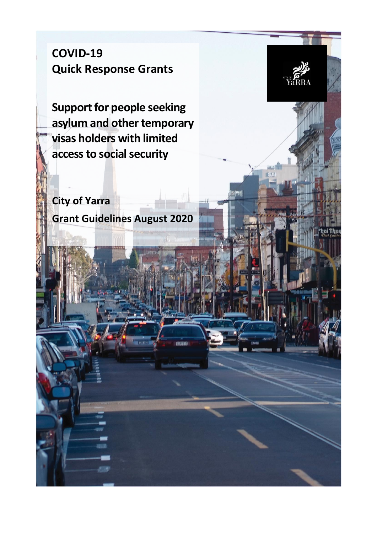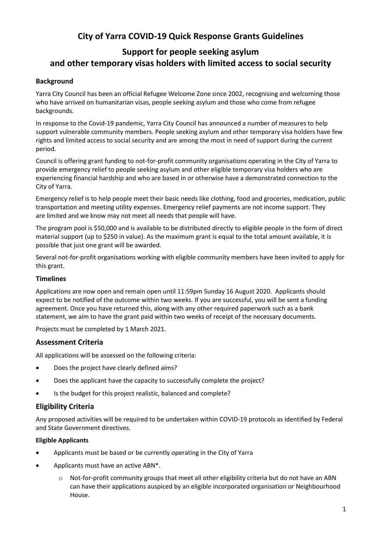## **City of Yarra COVID-19 Quick Response Grants Guidelines**

# **Support for people seeking asylum and other temporary visas holders with limited access to social security**

## **Background**

Yarra City Council has been an official Refugee Welcome Zone since 2002, recognising and welcoming those who have arrived on humanitarian visas, people seeking asylum and those who come from refugee backgrounds.

In response to the Covid-19 pandemic, Yarra City Council has announced a number of measures to help support vulnerable community members. People seeking asylum and other temporary visa holders have few rights and limited access to social security and are among the most in need of support during the current period.

Council is offering grant funding to not-for-profit community organisations operating in the City of Yarra to provide emergency relief to people seeking asylum and other eligible temporary visa holders who are experiencing financial hardship and who are based in or otherwise have a demonstrated connection to the City of Yarra.

Emergency relief is to help people meet their basic needs like clothing, food and groceries, medication, public transportation and meeting utility expenses. Emergency relief payments are not income support. They are limited and we know may not meet all needs that people will have.

The program pool is \$50,000 and is available to be distributed directly to eligible people in the form of direct material support (up to \$250 in value). As the maximum grant is equal to the total amount available, it is possible that just one grant will be awarded.

Several not-for-profit organisations working with eligible community members have been invited to apply for this grant.

## **Timelines**

Applications are now open and remain open until 11:59pm Sunday 16 August 2020. Applicants should expect to be notified of the outcome within two weeks. If you are successful, you will be sent a funding agreement. Once you have returned this, along with any other required paperwork such as a bank statement, we aim to have the grant paid within two weeks of receipt of the necessary documents.

Projects must be completed by 1 March 2021.

## **Assessment Criteria**

All applications will be assessed on the following criteria:

- Does the project have clearly defined aims?
- Does the applicant have the capacity to successfully complete the project?
- Is the budget for this project realistic, balanced and complete?

## **Eligibility Criteria**

Any proposed activities will be required to be undertaken within COVID-19 protocols as identified by Federal and State Government directives.

## **Eligible Applicants**

- Applicants must be based or be currently operating in the City of Yarra
- Applicants must have an active ABN\*.
	- o Not-for-profit community groups that meet all other eligibility criteria but do not have an ABN can have their applications auspiced by an eligible incorporated organisation or Neighbourhood House.